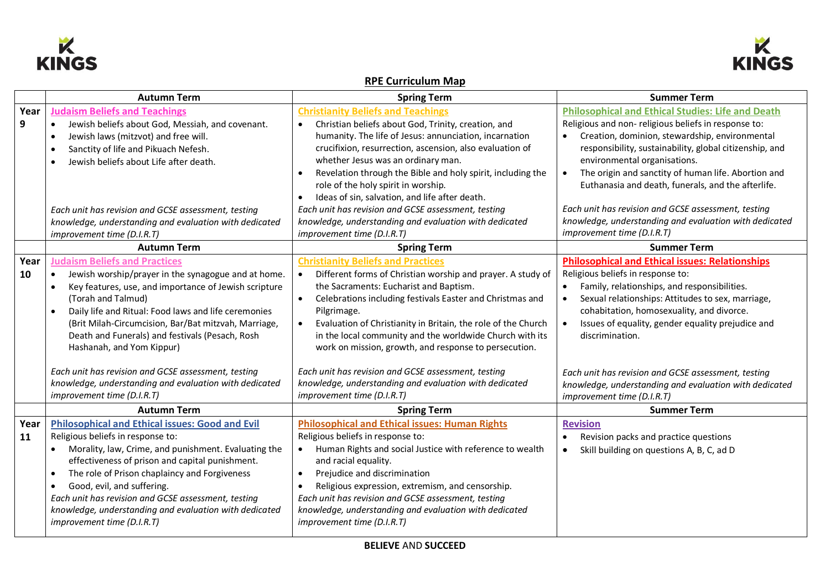



## **RPE Curriculum Map**

|      | <b>Autumn Term</b>                                                | <b>Spring Term</b>                                                         | <b>Summer Term</b>                                       |
|------|-------------------------------------------------------------------|----------------------------------------------------------------------------|----------------------------------------------------------|
| Year | <b>Judaism Beliefs and Teachings</b>                              | <b>Christianity Beliefs and Teachings</b>                                  | <b>Philosophical and Ethical Studies: Life and Death</b> |
| 9    | Jewish beliefs about God, Messiah, and covenant.                  | Christian beliefs about God, Trinity, creation, and                        | Religious and non-religious beliefs in response to:      |
|      | Jewish laws (mitzvot) and free will.                              | humanity. The life of Jesus: annunciation, incarnation                     | Creation, dominion, stewardship, environmental           |
|      | Sanctity of life and Pikuach Nefesh.                              | crucifixion, resurrection, ascension, also evaluation of                   | responsibility, sustainability, global citizenship, and  |
|      | Jewish beliefs about Life after death.                            | whether Jesus was an ordinary man.                                         | environmental organisations.                             |
|      |                                                                   | Revelation through the Bible and holy spirit, including the                | The origin and sanctity of human life. Abortion and      |
|      |                                                                   | role of the holy spirit in worship.                                        | Euthanasia and death, funerals, and the afterlife.       |
|      |                                                                   | Ideas of sin, salvation, and life after death.                             |                                                          |
|      | Each unit has revision and GCSE assessment, testing               | Each unit has revision and GCSE assessment, testing                        | Each unit has revision and GCSE assessment, testing      |
|      | knowledge, understanding and evaluation with dedicated            | knowledge, understanding and evaluation with dedicated                     | knowledge, understanding and evaluation with dedicated   |
|      | improvement time (D.I.R.T)                                        | improvement time (D.I.R.T)                                                 | improvement time (D.I.R.T)                               |
|      | <b>Autumn Term</b>                                                | <b>Spring Term</b>                                                         | <b>Summer Term</b>                                       |
| Year | <b>Judaism Beliefs and Practices</b>                              | <b>Christianity Beliefs and Practices</b>                                  | <b>Philosophical and Ethical issues: Relationships</b>   |
| 10   | Jewish worship/prayer in the synagogue and at home.<br>$\bullet$  | Different forms of Christian worship and prayer. A study of<br>$\bullet$   | Religious beliefs in response to:                        |
|      | Key features, use, and importance of Jewish scripture             | the Sacraments: Eucharist and Baptism.                                     | Family, relationships, and responsibilities.             |
|      | (Torah and Talmud)                                                | Celebrations including festivals Easter and Christmas and<br>$\bullet$     | Sexual relationships: Attitudes to sex, marriage,        |
|      | Daily life and Ritual: Food laws and life ceremonies              | Pilgrimage.                                                                | cohabitation, homosexuality, and divorce.                |
|      | (Brit Milah-Circumcision, Bar/Bat mitzvah, Marriage,              | Evaluation of Christianity in Britain, the role of the Church<br>$\bullet$ | Issues of equality, gender equality prejudice and        |
|      | Death and Funerals) and festivals (Pesach, Rosh                   | in the local community and the worldwide Church with its                   | discrimination.                                          |
|      | Hashanah, and Yom Kippur)                                         | work on mission, growth, and response to persecution.                      |                                                          |
|      |                                                                   |                                                                            |                                                          |
|      | Each unit has revision and GCSE assessment, testing               | Each unit has revision and GCSE assessment, testing                        | Each unit has revision and GCSE assessment, testing      |
|      | knowledge, understanding and evaluation with dedicated            | knowledge, understanding and evaluation with dedicated                     | knowledge, understanding and evaluation with dedicated   |
|      | improvement time (D.I.R.T)                                        | improvement time (D.I.R.T)                                                 | improvement time (D.I.R.T)                               |
|      | <b>Autumn Term</b>                                                | <b>Spring Term</b>                                                         | <b>Summer Term</b>                                       |
| Year | <b>Philosophical and Ethical issues: Good and Evil</b>            | <b>Philosophical and Ethical issues: Human Rights</b>                      | <b>Revision</b>                                          |
| 11   | Religious beliefs in response to:                                 | Religious beliefs in response to:                                          | Revision packs and practice questions                    |
|      | Morality, law, Crime, and punishment. Evaluating the<br>$\bullet$ | Human Rights and social Justice with reference to wealth<br>$\bullet$      | Skill building on questions A, B, C, ad D<br>$\bullet$   |
|      | effectiveness of prison and capital punishment.                   | and racial equality.                                                       |                                                          |
|      | The role of Prison chaplaincy and Forgiveness<br>$\bullet$        | Prejudice and discrimination<br>$\bullet$                                  |                                                          |
|      | Good, evil, and suffering.                                        | Religious expression, extremism, and censorship.                           |                                                          |
|      | Each unit has revision and GCSE assessment, testing               | Each unit has revision and GCSE assessment, testing                        |                                                          |
|      | knowledge, understanding and evaluation with dedicated            | knowledge, understanding and evaluation with dedicated                     |                                                          |
|      | improvement time (D.I.R.T)                                        | improvement time (D.I.R.T)                                                 |                                                          |
|      |                                                                   |                                                                            |                                                          |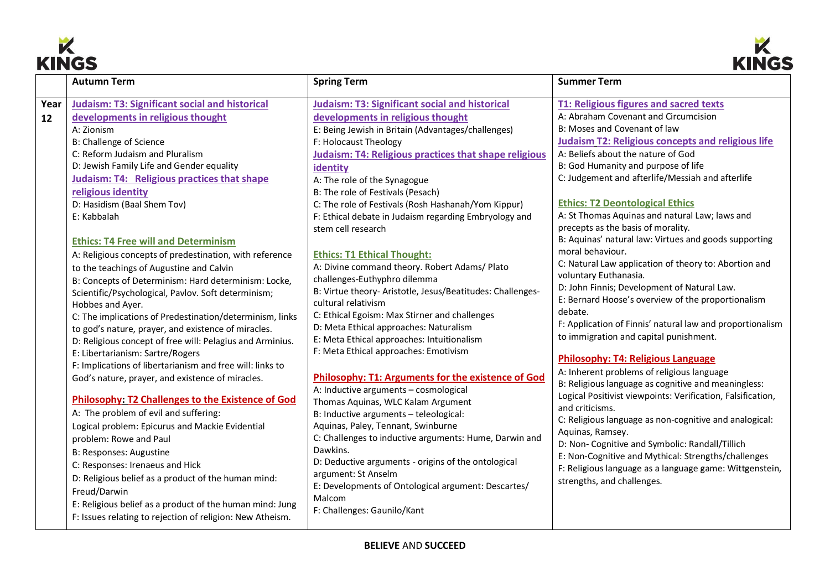



| <b>Autumn Term</b><br><b>Spring Term</b><br>Year<br><b>Judaism: T3: Significant social and historical</b><br><b>Judaism: T3: Significant social and historical</b>                                                                                                                                                                                                                                                                                                                                                                                                                                                                                                                                                                                                                                                                                                                                                                                                                                                                                                                                                                                                                                                                                                                                                                                                                                                                                                                                                                                                                                                                                                                                                                                                                                                                                                                                                                                                                                                                                                                                                                                                                                                                                                                                                                                                                                                                                                                                                                                                                                                                           | <b>Summer Term</b><br>T1: Religious figures and sacred texts<br>A: Abraham Covenant and Circumcision                                                                                                                                                                                                                                                                                                                                                                                                                                                                                                                                                                                                                                                                                                                                                                                                                                                                                                                                                                                                                                                                                                                                                                   |
|----------------------------------------------------------------------------------------------------------------------------------------------------------------------------------------------------------------------------------------------------------------------------------------------------------------------------------------------------------------------------------------------------------------------------------------------------------------------------------------------------------------------------------------------------------------------------------------------------------------------------------------------------------------------------------------------------------------------------------------------------------------------------------------------------------------------------------------------------------------------------------------------------------------------------------------------------------------------------------------------------------------------------------------------------------------------------------------------------------------------------------------------------------------------------------------------------------------------------------------------------------------------------------------------------------------------------------------------------------------------------------------------------------------------------------------------------------------------------------------------------------------------------------------------------------------------------------------------------------------------------------------------------------------------------------------------------------------------------------------------------------------------------------------------------------------------------------------------------------------------------------------------------------------------------------------------------------------------------------------------------------------------------------------------------------------------------------------------------------------------------------------------------------------------------------------------------------------------------------------------------------------------------------------------------------------------------------------------------------------------------------------------------------------------------------------------------------------------------------------------------------------------------------------------------------------------------------------------------------------------------------------------|------------------------------------------------------------------------------------------------------------------------------------------------------------------------------------------------------------------------------------------------------------------------------------------------------------------------------------------------------------------------------------------------------------------------------------------------------------------------------------------------------------------------------------------------------------------------------------------------------------------------------------------------------------------------------------------------------------------------------------------------------------------------------------------------------------------------------------------------------------------------------------------------------------------------------------------------------------------------------------------------------------------------------------------------------------------------------------------------------------------------------------------------------------------------------------------------------------------------------------------------------------------------|
|                                                                                                                                                                                                                                                                                                                                                                                                                                                                                                                                                                                                                                                                                                                                                                                                                                                                                                                                                                                                                                                                                                                                                                                                                                                                                                                                                                                                                                                                                                                                                                                                                                                                                                                                                                                                                                                                                                                                                                                                                                                                                                                                                                                                                                                                                                                                                                                                                                                                                                                                                                                                                                              |                                                                                                                                                                                                                                                                                                                                                                                                                                                                                                                                                                                                                                                                                                                                                                                                                                                                                                                                                                                                                                                                                                                                                                                                                                                                        |
| developments in religious thought<br>developments in religious thought<br>12<br>E: Being Jewish in Britain (Advantages/challenges)<br>A: Zionism<br><b>B: Challenge of Science</b><br>F: Holocaust Theology<br>C: Reform Judaism and Pluralism<br>Judaism: T4: Religious practices that shape religious<br>D: Jewish Family Life and Gender equality<br>identity<br>Judaism: T4: Religious practices that shape<br>A: The role of the Synagogue<br>religious identity<br>B: The role of Festivals (Pesach)<br>D: Hasidism (Baal Shem Tov)<br>C: The role of Festivals (Rosh Hashanah/Yom Kippur)<br>F: Ethical debate in Judaism regarding Embryology and<br>E: Kabbalah<br>stem cell research<br><b>Ethics: T4 Free will and Determinism</b><br>A: Religious concepts of predestination, with reference<br><b>Ethics: T1 Ethical Thought:</b><br>A: Divine command theory. Robert Adams/ Plato<br>to the teachings of Augustine and Calvin<br>challenges-Euthyphro dilemma<br>B: Concepts of Determinism: Hard determinism: Locke,<br>B: Virtue theory- Aristotle, Jesus/Beatitudes: Challenges-<br>Scientific/Psychological, Pavlov. Soft determinism;<br>cultural relativism<br>Hobbes and Ayer.<br>C: Ethical Egoism: Max Stirner and challenges<br>C: The implications of Predestination/determinism, links<br>D: Meta Ethical approaches: Naturalism<br>to god's nature, prayer, and existence of miracles.<br>E: Meta Ethical approaches: Intuitionalism<br>D: Religious concept of free will: Pelagius and Arminius.<br>F: Meta Ethical approaches: Emotivism<br>E: Libertarianism: Sartre/Rogers<br>F: Implications of libertarianism and free will: links to<br>Philosophy: T1: Arguments for the existence of God<br>God's nature, prayer, and existence of miracles.<br>A: Inductive arguments - cosmological<br>Philosophy: T2 Challenges to the Existence of God<br>Thomas Aquinas, WLC Kalam Argument<br>A: The problem of evil and suffering:<br>B: Inductive arguments - teleological:<br>Aquinas, Paley, Tennant, Swinburne<br>Logical problem: Epicurus and Mackie Evidential<br>C: Challenges to inductive arguments: Hume, Darwin and<br>problem: Rowe and Paul<br>Dawkins.<br>B: Responses: Augustine<br>D: Deductive arguments - origins of the ontological<br>C: Responses: Irenaeus and Hick<br>argument: St Anselm<br>D: Religious belief as a product of the human mind:<br>E: Developments of Ontological argument: Descartes/<br>Freud/Darwin<br>Malcom<br>E: Religious belief as a product of the human mind: Jung<br>F: Challenges: Gaunilo/Kant<br>F: Issues relating to rejection of religion: New Atheism. | B: Moses and Covenant of law<br><b>Judaism T2: Religious concepts and religious life</b><br>A: Beliefs about the nature of God<br>B: God Humanity and purpose of life<br>C: Judgement and afterlife/Messiah and afterlife<br><b>Ethics: T2 Deontological Ethics</b><br>A: St Thomas Aquinas and natural Law; laws and<br>precepts as the basis of morality.<br>B: Aquinas' natural law: Virtues and goods supporting<br>moral behaviour.<br>C: Natural Law application of theory to: Abortion and<br>voluntary Euthanasia.<br>D: John Finnis; Development of Natural Law.<br>E: Bernard Hoose's overview of the proportionalism<br>debate.<br>F: Application of Finnis' natural law and proportionalism<br>to immigration and capital punishment.<br><b>Philosophy: T4: Religious Language</b><br>A: Inherent problems of religious language<br>B: Religious language as cognitive and meaningless:<br>Logical Positivist viewpoints: Verification, Falsification,<br>and criticisms.<br>C: Religious language as non-cognitive and analogical:<br>Aquinas, Ramsey.<br>D: Non- Cognitive and Symbolic: Randall/Tillich<br>E: Non-Cognitive and Mythical: Strengths/challenges<br>F: Religious language as a language game: Wittgenstein,<br>strengths, and challenges. |